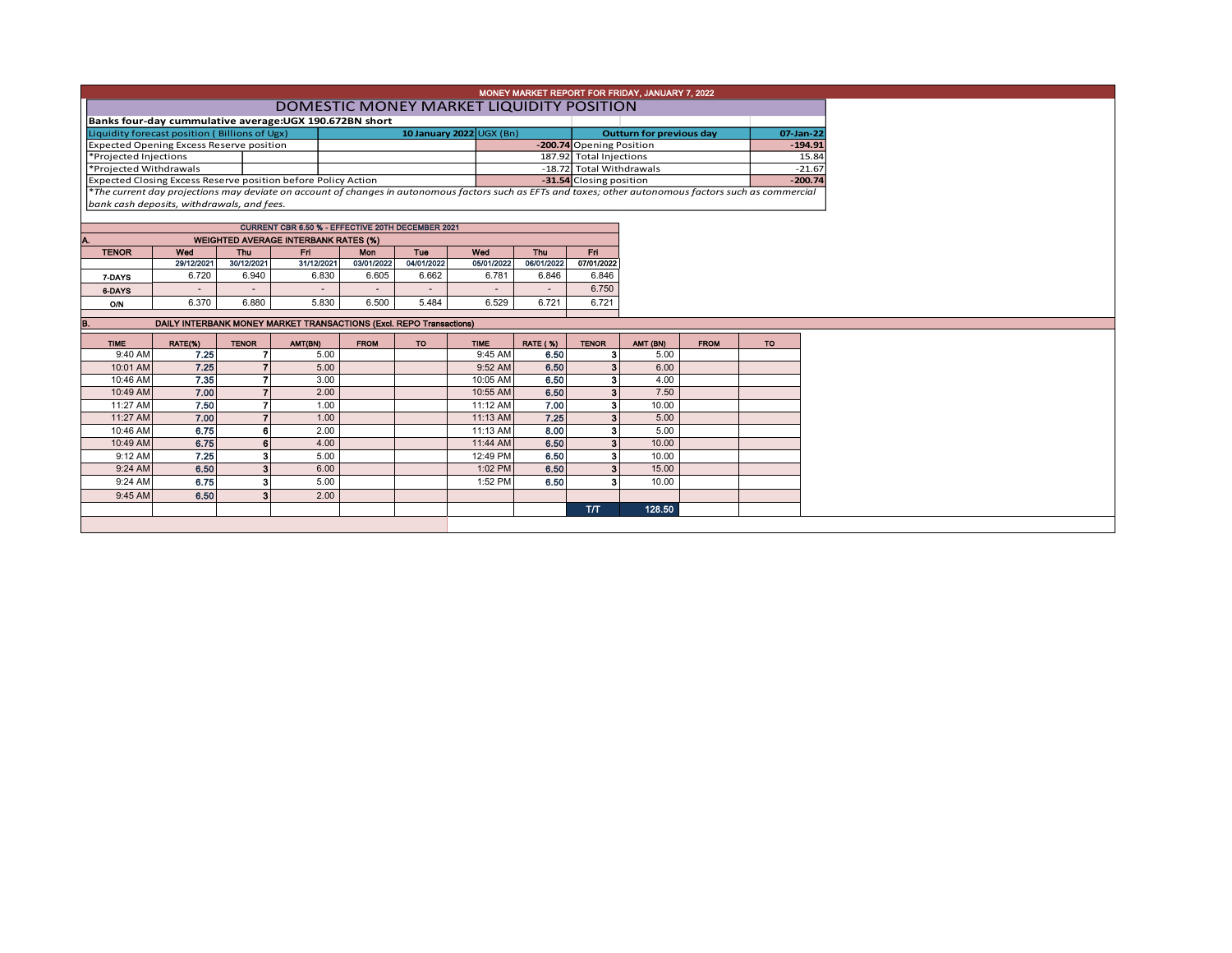|                                                                                                                                                          | MONEY MARKET REPORT FOR FRIDAY, JANUARY 7, 2022 |                          |  |                                 |           |           |  |  |  |  |  |  |  |
|----------------------------------------------------------------------------------------------------------------------------------------------------------|-------------------------------------------------|--------------------------|--|---------------------------------|-----------|-----------|--|--|--|--|--|--|--|
| DOMESTIC MONEY MARKET LIQUIDITY POSITION                                                                                                                 |                                                 |                          |  |                                 |           |           |  |  |  |  |  |  |  |
| Banks four-day cummulative average: UGX 190.672BN short                                                                                                  |                                                 |                          |  |                                 |           |           |  |  |  |  |  |  |  |
| Liquidity forecast position (Billions of Ugx)                                                                                                            |                                                 | 10 January 2022 UGX (Bn) |  | <b>Outturn for previous day</b> | 07-Jan-22 |           |  |  |  |  |  |  |  |
| Expected Opening Excess Reserve position                                                                                                                 |                                                 |                          |  | -200.74 Opening Position        |           | $-194.91$ |  |  |  |  |  |  |  |
| *Projected Injections                                                                                                                                    |                                                 |                          |  | 187.92 Total Injections         |           | 15.84     |  |  |  |  |  |  |  |
| *Projected Withdrawals                                                                                                                                   |                                                 |                          |  | -18.72 Total Withdrawals        |           | $-21.67$  |  |  |  |  |  |  |  |
| <b>Expected Closing Excess Reserve position before Policy Action</b>                                                                                     |                                                 |                          |  | -31.54 Closing position         |           | $-200.74$ |  |  |  |  |  |  |  |
| *The current day projections may deviate on account of changes in autonomous factors such as EFTs and taxes; other autonomous factors such as commercial |                                                 |                          |  |                                 |           |           |  |  |  |  |  |  |  |
| bank cash deposits, withdrawals, and fees.                                                                                                               |                                                 |                          |  |                                 |           |           |  |  |  |  |  |  |  |

| <b>CURRENT CBR 6.50 % - EFFECTIVE 20TH DECEMBER 2021</b> |            |                          |            |                          |            |                          |            |            |  |  |  |  |  |  |
|----------------------------------------------------------|------------|--------------------------|------------|--------------------------|------------|--------------------------|------------|------------|--|--|--|--|--|--|
| <b>WEIGHTED AVERAGE INTERBANK RATES (%)</b><br>IA.       |            |                          |            |                          |            |                          |            |            |  |  |  |  |  |  |
| <b>TENOR</b>                                             | Wed        | Thu                      | Fri        | <b>Mon</b>               | Tue        | Wed                      | Thu        | Fri        |  |  |  |  |  |  |
|                                                          | 29/12/2021 | 30/12/2021               | 31/12/2021 | 03/01/2022               | 04/01/2022 | 05/01/2022               | 06/01/2022 | 07/01/2022 |  |  |  |  |  |  |
| 7-DAYS                                                   | 6.720      | 6.940                    | 6.830      | 6.605                    | 6.662      | 6.781                    | 6.846      | 6.846      |  |  |  |  |  |  |
| 6-DAYS                                                   |            | $\overline{\phantom{a}}$ | $\,$       | $\overline{\phantom{a}}$ | $\,$       | $\overline{\phantom{a}}$ |            | 6.750      |  |  |  |  |  |  |
| O/N                                                      | 6.370      | 6.880                    | 5.830      | 6.500                    | 5.484      | 6.529                    | 6.721      | 6.721      |  |  |  |  |  |  |
|                                                          |            |                          |            |                          |            |                          |            |            |  |  |  |  |  |  |

| IB          |         |                | DAILY INTERBANK MONEY MARKET TRANSACTIONS (Excl. REPO Transactions) |             |     |             |                 |              |          |             |           |
|-------------|---------|----------------|---------------------------------------------------------------------|-------------|-----|-------------|-----------------|--------------|----------|-------------|-----------|
| <b>TIME</b> | RATE(%) | <b>TENOR</b>   | AMT(BN)                                                             | <b>FROM</b> | TO. | <b>TIME</b> | <b>RATE (%)</b> | <b>TENOR</b> | AMT (BN) | <b>FROM</b> | <b>TO</b> |
| 9:40 AM     | 7.25    |                | 5.00                                                                |             |     | 9:45 AM     | 6.50            |              | 5.00     |             |           |
| 10:01 AM    | 7.25    |                | 5.00                                                                |             |     | 9:52 AM     | 6.50            | 3            | 6.00     |             |           |
| 10:46 AM    | 7.35    |                | 3.00                                                                |             |     | 10:05 AM    | 6.50            | 3            | 4.00     |             |           |
| 10:49 AM    | 7.00    |                | 2.00                                                                |             |     | 10:55 AM    | 6.50            | 3            | 7.50     |             |           |
| 11:27 AM    | 7.50    |                | 1.00                                                                |             |     | 11:12 AM    | 7.00            | 3            | 10.00    |             |           |
| 11:27 AM    | 7.00    |                | 1.00                                                                |             |     | 11:13 AM    | 7.25            | 3            | 5.00     |             |           |
| 10:46 AM    | 6.75    | 6              | 2.00                                                                |             |     | 11:13 AM    | 8.00            | 3            | 5.00     |             |           |
| 10:49 AM    | 6.75    | 6              | 4.00                                                                |             |     | 11:44 AM    | 6.50            | 3            | 10.00    |             |           |
| 9:12 AM     | 7.25    | 3              | 5.00                                                                |             |     | 12:49 PM    | 6.50            | 3            | 10.00    |             |           |
| 9:24 AM     | 6.50    | 3              | 6.00                                                                |             |     | 1:02 PM     | 6.50            | 3            | 15.00    |             |           |
| 9:24 AM     | 6.75    | 3              | 5.00                                                                |             |     | 1:52 PM     | 6.50            | з            | 10.00    |             |           |
| 9:45 AM     | 6.50    | 3 <sup>1</sup> | 2.00                                                                |             |     |             |                 |              |          |             |           |
|             |         |                |                                                                     |             |     |             |                 | T/T          | 128.50   |             |           |
|             |         |                |                                                                     |             |     |             |                 |              |          |             |           |
|             |         |                |                                                                     |             |     |             |                 |              |          |             |           |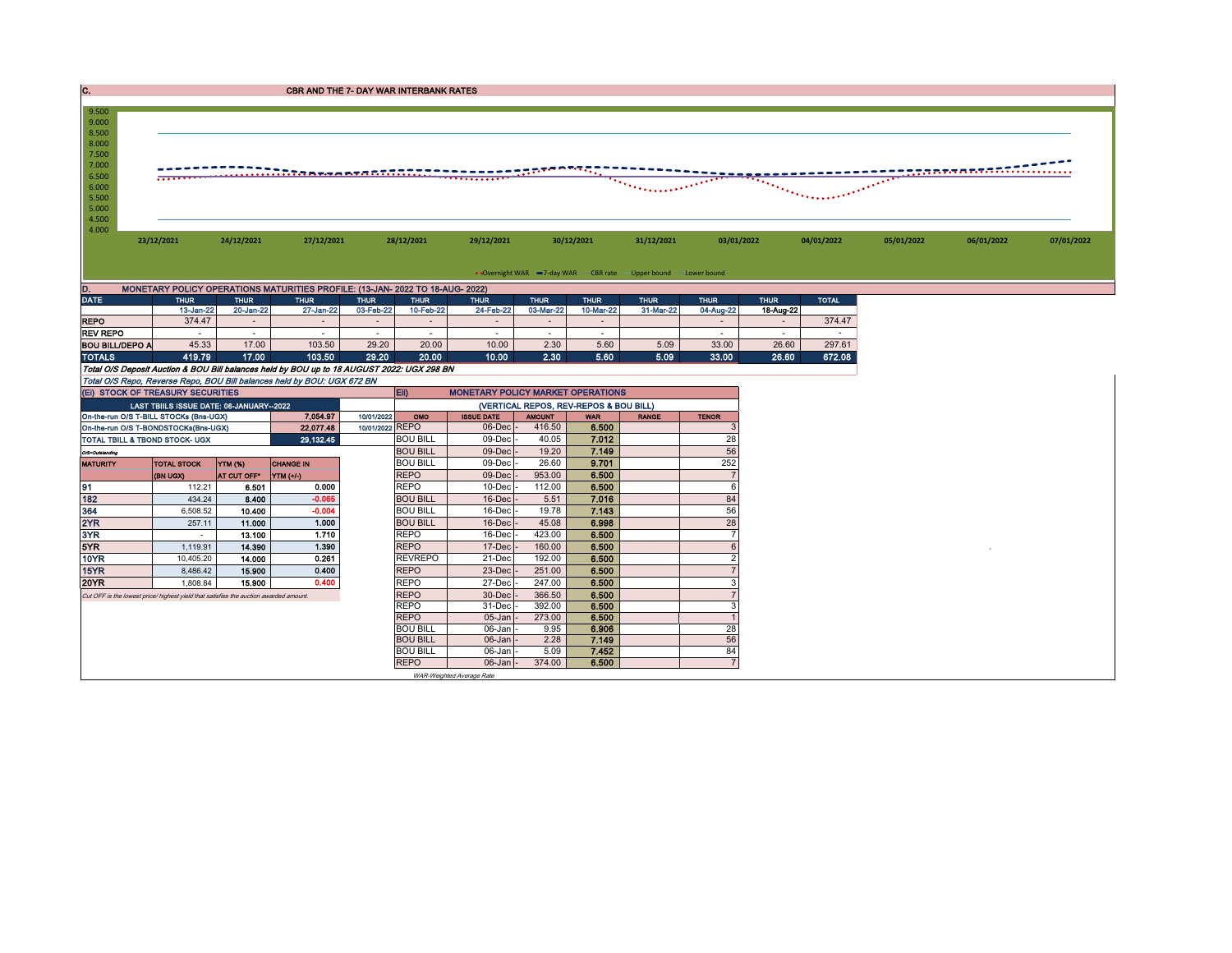` DATE THUR THUR THUR THUR THUR THUR THUR THUR THUR THUR THUR TOTAL 13-Jan-22 20-Jan-22 27-Jan-22 03-Feb-22 10-Feb-22 24-Feb-22 03-Mar-22 10-Mar-22 31-Mar-22 04-Aug-22 18-Aug-22 CBR AND THE 7- DAY WAR INTERBANK RATES D. MONETARY POLICY OPERATIONS MATURITIES PROFILE: (13-JAN- 2022 TO 18-AUG- 2022)<br>DATE THUR THUR THUR THUR THUR 13-JAN- 2001<br>19-BA-221 2001-0221 27-JAN-221 03-BA-221 10-BA-221 4.000 4.500 5.000 5.500 6.000 6.500 7.000 7.500 8.000 8.500 9.000 9.500 **23/12/2021 24/12/2021 27/12/2021 28/12/2021 29/12/2021 30/12/2021 31/12/2021 03/01/2022 04/01/2022 05/01/2022 06/01/2022 07/01/2022** • Overnight WAR -7-day WAR - CBR rate - Upper bound - Lower bound

|                        | .      | _______ | ____________ | -------- | .     | ------- | ---------- | .    | ---------- | --------- | .     |        |
|------------------------|--------|---------|--------------|----------|-------|---------|------------|------|------------|-----------|-------|--------|
| <b>REPO</b>            | 374.47 |         |              |          |       |         |            |      |            |           |       | 374.47 |
| <b>REV REPO</b>        |        |         |              |          |       |         |            |      |            |           |       |        |
| <b>BOU BILL/DEPO A</b> | 45.33  | 17.00   | 103.50       | 29.20    | 20.00 | 10.00   | 2.30       | 5.60 | 5.09       | 33.00     | 26.60 | 297.61 |
| <b>TOTALS</b>          | 119.79 | 17.00   | 103.50       | 29.20    | 20.00 | 10.00   | 2.30       | 5.60 | 5.09       | 33.00     | 26.60 | 672.08 |

Total O/S Deposit Auction & BOU Bill balances held by BOU up to 18 AUGUST 2022: UGX 298 BN

| Total O/S Repo, Reverse Repo, BOU Bill balances held by BOU: UGX 672 BN               |                                         |                |                  |                   |                                        |               |            |              |              |  |  |  |  |
|---------------------------------------------------------------------------------------|-----------------------------------------|----------------|------------------|-------------------|----------------------------------------|---------------|------------|--------------|--------------|--|--|--|--|
| Eii)<br><b>MONETARY POLICY MARKET OPERATIONS</b><br>(EI) STOCK OF TREASURY SECURITIES |                                         |                |                  |                   |                                        |               |            |              |              |  |  |  |  |
|                                                                                       | LAST TBIILS ISSUE DATE: 06-JANUARY-2022 |                |                  |                   | (VERTICAL REPOS, REV-REPOS & BOU BILL) |               |            |              |              |  |  |  |  |
| On-the-run O/S T-BILL STOCKs (Bns-UGX)                                                |                                         |                | 7.054.97         | 10/01/2022<br>OMO | <b>ISSUE DATE</b>                      | <b>AMOUNT</b> | <b>WAR</b> | <b>RANGE</b> | <b>TENOR</b> |  |  |  |  |
| On-the-run O/S T-BONDSTOCKs(Bns-UGX)                                                  |                                         |                | 22,077.48        | 10/01/2022 REPO   | 06-Dec                                 | 416.50        | 6.500      |              |              |  |  |  |  |
| <b>TOTAL TBILL &amp; TBOND STOCK- UGX</b>                                             |                                         |                | 29,132.45        | <b>BOU BILL</b>   | 09-Decl                                | 40.05         | 7.012      |              | 28           |  |  |  |  |
| O/S=Outstanding                                                                       |                                         |                |                  | <b>BOU BILL</b>   | $09$ -Dec                              | 19.20         | 7.149      |              | 56           |  |  |  |  |
| <b>MATURITY</b>                                                                       | <b>TOTAL STOCK</b>                      | <b>YTM (%)</b> | <b>CHANGE IN</b> | <b>BOU BILL</b>   | 09-Dec                                 | 26.60         | 9.701      |              | 252          |  |  |  |  |
|                                                                                       | (BN UGX)                                | AT CUT OFF*    | YTM (+/-)        | <b>REPO</b>       | 09-Dec                                 | 953.00        | 6.500      |              |              |  |  |  |  |
| 91                                                                                    | 112.21                                  | 6.501          | 0.000            | <b>REPO</b>       | 10-Dec                                 | 112.00        | 6.500      |              | 6            |  |  |  |  |
| 182                                                                                   | 434.24                                  | 8.400          | $-0.065$         | <b>BOU BILL</b>   | $16$ -Dec                              | 5.51          | 7.016      |              | 84           |  |  |  |  |
| 364                                                                                   | 6.508.52                                | 10.400         | $-0.004$         | <b>BOU BILL</b>   | 16-Dec                                 | 19.78         | 7.143      |              | 56           |  |  |  |  |
| 2YR                                                                                   | 257.11                                  | 11.000         | 1.000            | <b>BOU BILL</b>   | $16$ -Dec                              | 45.08         | 6.998      |              | 28           |  |  |  |  |
| 3YR                                                                                   |                                         | 13.100         | 1.710            | <b>REPO</b>       | 16-Dec                                 | 423.00        | 6.500      |              |              |  |  |  |  |
| 5YR                                                                                   | 1.119.91                                | 14.390         | 1.390            | <b>REPO</b>       | 17-Dec                                 | 160.00        | 6.500      |              | 6            |  |  |  |  |
| 10YR                                                                                  | 10,405.20                               | 14.000         | 0.261            | <b>REVREPO</b>    | 21-Dec                                 | 192.00        | 6.500      |              |              |  |  |  |  |
| 15YR                                                                                  | 8.486.42                                | 15.900         | 0.400            | <b>REPO</b>       | 23-Dec                                 | 251.00        | 6.500      |              |              |  |  |  |  |
| <b>20YR</b>                                                                           | 1,808.84                                | 15.900         | 0.400            | <b>REPO</b>       | 27-Dec                                 | 247.00        | 6.500      |              | З            |  |  |  |  |
| Cut OFF is the lowest price/ highest yield that satisfies the auction awarded amount. |                                         |                |                  | <b>REPO</b>       | 30-Dec                                 | 366.50        | 6.500      |              |              |  |  |  |  |
|                                                                                       |                                         |                |                  | <b>REPO</b>       | 31-Dec                                 | 392.00        | 6.500      |              | 3            |  |  |  |  |
|                                                                                       |                                         |                |                  | <b>REPO</b>       | 05-Jan                                 | 273.00        | 6.500      |              |              |  |  |  |  |
|                                                                                       |                                         |                |                  | <b>BOU BILL</b>   | 06-Jan                                 | 9.95          | 6.906      |              | 28           |  |  |  |  |
|                                                                                       |                                         |                |                  | <b>BOU BILL</b>   | $06$ -Jan                              | 2.28          | 7.149      |              | 56           |  |  |  |  |
|                                                                                       |                                         |                |                  | <b>BOU BILL</b>   | 06-Jan                                 | 5.09          | 7.452      |              | 84           |  |  |  |  |
|                                                                                       |                                         |                |                  | <b>REPO</b>       | $06$ -Jan                              | 374.00        | 6.500      |              |              |  |  |  |  |
|                                                                                       |                                         |                |                  |                   | WAR-Weighted Average Rate              |               |            |              |              |  |  |  |  |